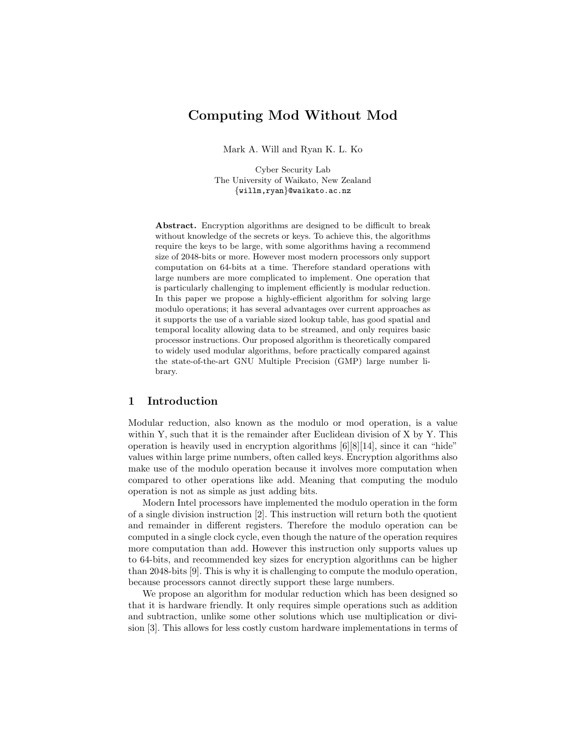# Computing Mod Without Mod

Mark A. Will and Ryan K. L. Ko

Cyber Security Lab The University of Waikato, New Zealand {willm,ryan}@waikato.ac.nz

Abstract. Encryption algorithms are designed to be difficult to break without knowledge of the secrets or keys. To achieve this, the algorithms require the keys to be large, with some algorithms having a recommend size of 2048-bits or more. However most modern processors only support computation on 64-bits at a time. Therefore standard operations with large numbers are more complicated to implement. One operation that is particularly challenging to implement efficiently is modular reduction. In this paper we propose a highly-efficient algorithm for solving large modulo operations; it has several advantages over current approaches as it supports the use of a variable sized lookup table, has good spatial and temporal locality allowing data to be streamed, and only requires basic processor instructions. Our proposed algorithm is theoretically compared to widely used modular algorithms, before practically compared against the state-of-the-art GNU Multiple Precision (GMP) large number library.

## 1 Introduction

Modular reduction, also known as the modulo or mod operation, is a value within Y, such that it is the remainder after Euclidean division of X by Y. This operation is heavily used in encryption algorithms  $[6][8][14]$ , since it can "hide" values within large prime numbers, often called keys. Encryption algorithms also make use of the modulo operation because it involves more computation when compared to other operations like add. Meaning that computing the modulo operation is not as simple as just adding bits.

Modern Intel processors have implemented the modulo operation in the form of a single division instruction [2]. This instruction will return both the quotient and remainder in different registers. Therefore the modulo operation can be computed in a single clock cycle, even though the nature of the operation requires more computation than add. However this instruction only supports values up to 64-bits, and recommended key sizes for encryption algorithms can be higher than 2048-bits [9]. This is why it is challenging to compute the modulo operation, because processors cannot directly support these large numbers.

We propose an algorithm for modular reduction which has been designed so that it is hardware friendly. It only requires simple operations such as addition and subtraction, unlike some other solutions which use multiplication or division [3]. This allows for less costly custom hardware implementations in terms of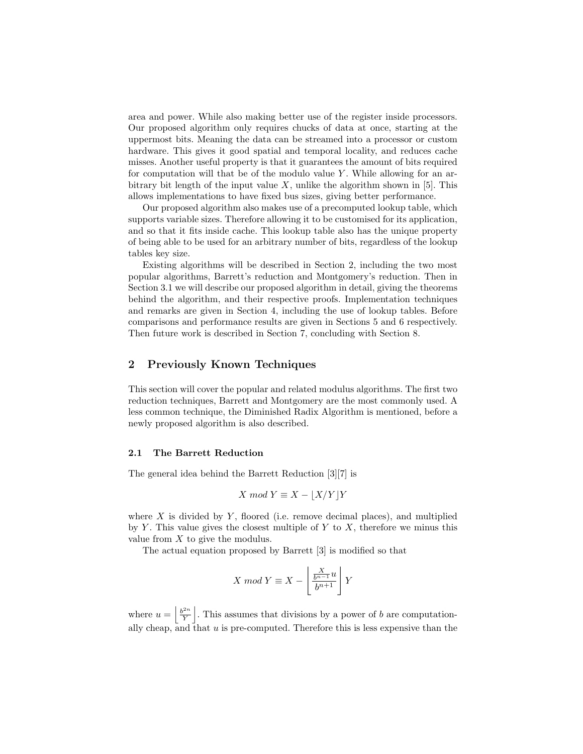area and power. While also making better use of the register inside processors. Our proposed algorithm only requires chucks of data at once, starting at the uppermost bits. Meaning the data can be streamed into a processor or custom hardware. This gives it good spatial and temporal locality, and reduces cache misses. Another useful property is that it guarantees the amount of bits required for computation will that be of the modulo value  $Y$ . While allowing for an arbitrary bit length of the input value  $X$ , unlike the algorithm shown in [5]. This allows implementations to have fixed bus sizes, giving better performance.

Our proposed algorithm also makes use of a precomputed lookup table, which supports variable sizes. Therefore allowing it to be customised for its application, and so that it fits inside cache. This lookup table also has the unique property of being able to be used for an arbitrary number of bits, regardless of the lookup tables key size.

Existing algorithms will be described in Section 2, including the two most popular algorithms, Barrett's reduction and Montgomery's reduction. Then in Section 3.1 we will describe our proposed algorithm in detail, giving the theorems behind the algorithm, and their respective proofs. Implementation techniques and remarks are given in Section 4, including the use of lookup tables. Before comparisons and performance results are given in Sections 5 and 6 respectively. Then future work is described in Section 7, concluding with Section 8.

## 2 Previously Known Techniques

This section will cover the popular and related modulus algorithms. The first two reduction techniques, Barrett and Montgomery are the most commonly used. A less common technique, the Diminished Radix Algorithm is mentioned, before a newly proposed algorithm is also described.

### 2.1 The Barrett Reduction

The general idea behind the Barrett Reduction [3][7] is

$$
X \mod Y \equiv X - |X/Y|Y
$$

where  $X$  is divided by  $Y$ , floored (i.e. remove decimal places), and multiplied by Y. This value gives the closest multiple of Y to X, therefore we minus this value from  $X$  to give the modulus.

The actual equation proposed by Barrett [3] is modified so that

$$
X \mod Y \equiv X - \left\lfloor \frac{X}{b^{n-1}} u \right\rfloor Y
$$

where  $u = \left\lfloor \frac{b^{2n}}{V} \right\rfloor$  $\frac{\lambda^{2n}}{Y}$ . This assumes that divisions by a power of b are computationally cheap, and that  $u$  is pre-computed. Therefore this is less expensive than the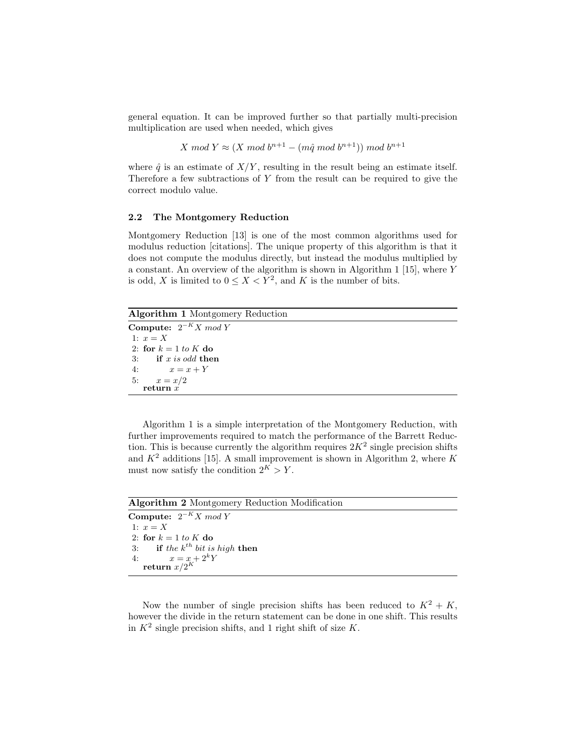general equation. It can be improved further so that partially multi-precision multiplication are used when needed, which gives

 $X \mod Y \approx (X \mod b^{n+1} - (m\hat{q} \mod b^{n+1})) \mod b^{n+1}$ 

where  $\hat{q}$  is an estimate of  $X/Y$ , resulting in the result being an estimate itself. Therefore a few subtractions of  $Y$  from the result can be required to give the correct modulo value.

### 2.2 The Montgomery Reduction

Montgomery Reduction [13] is one of the most common algorithms used for modulus reduction [citations]. The unique property of this algorithm is that it does not compute the modulus directly, but instead the modulus multiplied by a constant. An overview of the algorithm is shown in Algorithm 1 [15], where Y is odd, X is limited to  $0 \le X \le Y^2$ , and K is the number of bits.

Algorithm 1 Montgomery Reduction

Compute:  $2^{-K}X \mod Y$ 1:  $x = X$ 2: for  $k = 1$  to K do 3: if  $x$  is odd then 4:  $x = x + Y$ 5:  $x = x/2$ return  $\dot{x}$ 

Algorithm 1 is a simple interpretation of the Montgomery Reduction, with further improvements required to match the performance of the Barrett Reduction. This is because currently the algorithm requires  $2K^2$  single precision shifts and  $K^2$  additions [15]. A small improvement is shown in Algorithm 2, where K must now satisfy the condition  $2^K > Y$ .

| <b>Algorithm 2</b> Montgomery Reduction Modification |  |
|------------------------------------------------------|--|
| Compute: $2^{-K}X \mod Y$                            |  |
| 1: $x = X$                                           |  |
| 2: for $k = 1$ to K do                               |  |
| 3: if the $k^{th}$ bit is high then                  |  |
| 4: $x = x + 2^k Y$<br>return $x/2^K$                 |  |
|                                                      |  |

Now the number of single precision shifts has been reduced to  $K^2 + K$ , however the divide in the return statement can be done in one shift. This results in  $K^2$  single precision shifts, and 1 right shift of size K.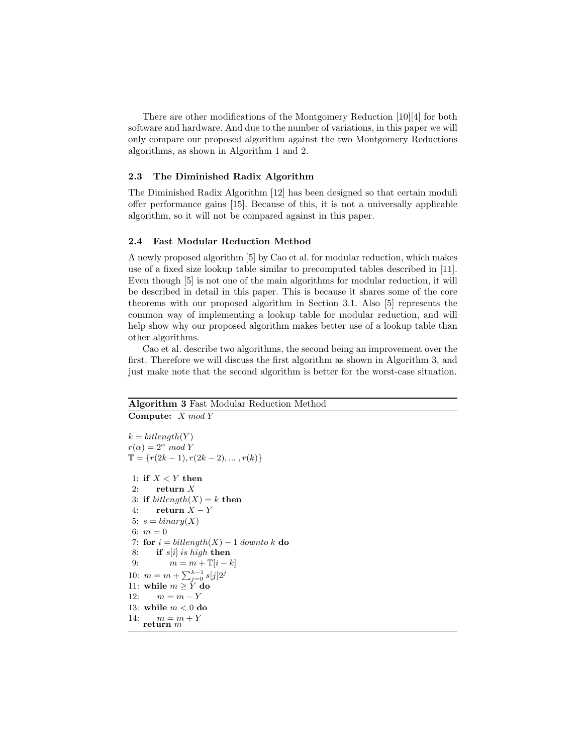There are other modifications of the Montgomery Reduction [10][4] for both software and hardware. And due to the number of variations, in this paper we will only compare our proposed algorithm against the two Montgomery Reductions algorithms, as shown in Algorithm 1 and 2.

### 2.3 The Diminished Radix Algorithm

The Diminished Radix Algorithm [12] has been designed so that certain moduli offer performance gains [15]. Because of this, it is not a universally applicable algorithm, so it will not be compared against in this paper.

### 2.4 Fast Modular Reduction Method

A newly proposed algorithm [5] by Cao et al. for modular reduction, which makes use of a fixed size lookup table similar to precomputed tables described in [11]. Even though [5] is not one of the main algorithms for modular reduction, it will be described in detail in this paper. This is because it shares some of the core theorems with our proposed algorithm in Section 3.1. Also [5] represents the common way of implementing a lookup table for modular reduction, and will help show why our proposed algorithm makes better use of a lookup table than other algorithms.

Cao et al. describe two algorithms, the second being an improvement over the first. Therefore we will discuss the first algorithm as shown in Algorithm 3, and just make note that the second algorithm is better for the worst-case situation.

## Algorithm 3 Fast Modular Reduction Method Compute: X mod Y

```
k = bitlength(Y)r(\alpha) = 2^{\alpha} \mod Y\mathbb{T} = \{r(2k-1), r(2k-2), \dots, r(k)\}\1: if X \leq Y then
2: return X3: if bitlength(X) = k then
 4: return X - Y5: s = binary(X)6: m = 07: for i = bitlength(X) - 1 downto k do
8: if s[i] is high then
9: m = m + T[i - k]10: m = m + \sum_{j=0}^{k-1} s[j] 2^j11: while m \geq Y do
12: m = m - Y13: while m < 0 do
14: m = m + Y<br>return m
```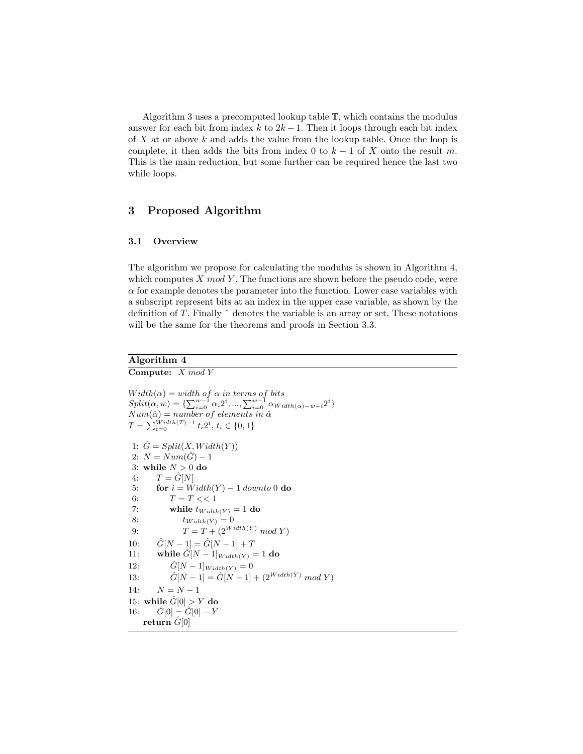Algorithm 3 uses a precomputed lookup table T, which contains the modulus answer for each bit from index k to  $2k-1$ . Then it loops through each bit index of  $X$  at or above  $k$  and adds the value from the lookup table. Once the loop is complete, it then adds the bits from index 0 to  $k-1$  of X onto the result m. This is the main reduction, but some further can be required hence the last two while loops.

# 3 Proposed Algorithm

### 3.1 Overview

The algorithm we propose for calculating the modulus is shown in Algorithm 4, which computes  $X \mod Y$ . The functions are shown before the pseudo code, were  $\alpha$  for example denotes the parameter into the function. Lower case variables with a subscript represent bits at an index in the upper case variable, as shown by the definition of  $T$ . Finally  $\hat{ }$  denotes the variable is an array or set. These notations will be the same for the theorems and proofs in Section 3.3.

# Algorithm 4

Compute: X mod Y

```
Width(\alpha) = width \ of \ \alpha \ in \ terms \ of \ bitsSplit(\alpha, w) = {\sum_{i=0}^{w-1} \alpha_i 2^i, ..., \sum_{i=0}^{w-1} \alpha_{Width(\alpha)-w+i} 2^i}Num(\hat{\alpha}) = number \ of \ elements \ in \ \hat{\alpha}T = \sum_{i=0}^{Width(T)-1} t_i 2^i, t_i \in \{0, 1\}1: \hat{G} = Split(X, Width(Y))2: N = Num(\hat{G}) - 13: while N > 0 do
 4: T = \hat{G}[N]5: for i = Width(Y) - 1 downto 0 do
 6: T = T \ll 17: while t_{Width(Y)} = 1 do
 8: t_{Width(Y)} = 09: T = T + (2^{Width(Y)} \mod Y)10: \hat{G}[N-1] = \hat{G}[N-1] + T11: while \hat{G}[N-1]_{Width(Y)} = 1 do
12: \hat{G}[N-1]_{Width(Y)} = 013: \hat{G}[N-1] = \hat{G}[N-1] + (2^{Width(Y)} \mod Y)14: N = N - 115: while \hat{G}[0] > Y do
16: \hat{G}[0] = \hat{G}[0] - Yreturn \hat{G}[0]
```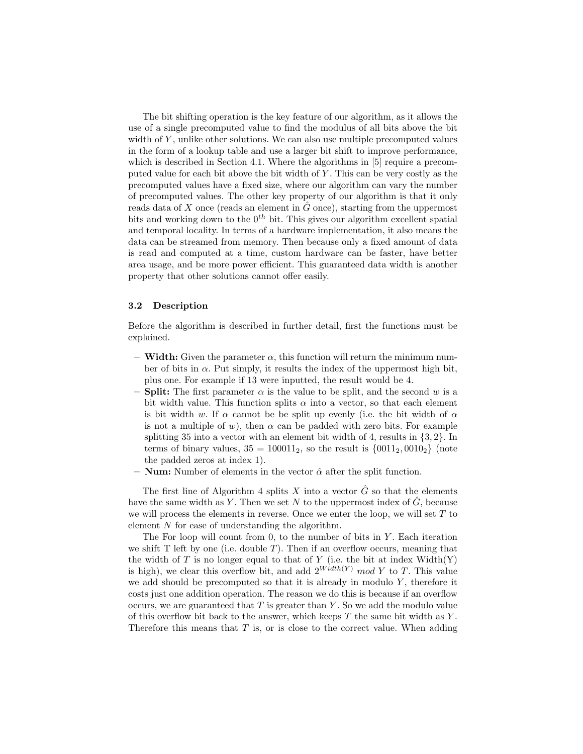The bit shifting operation is the key feature of our algorithm, as it allows the use of a single precomputed value to find the modulus of all bits above the bit width of  $Y$ , unlike other solutions. We can also use multiple precomputed values in the form of a lookup table and use a larger bit shift to improve performance, which is described in Section 4.1. Where the algorithms in [5] require a precomputed value for each bit above the bit width of  $Y$ . This can be very costly as the precomputed values have a fixed size, where our algorithm can vary the number of precomputed values. The other key property of our algorithm is that it only reads data of X once (reads an element in  $\hat{G}$  once), starting from the uppermost bits and working down to the  $0^{th}$  bit. This gives our algorithm excellent spatial and temporal locality. In terms of a hardware implementation, it also means the data can be streamed from memory. Then because only a fixed amount of data is read and computed at a time, custom hardware can be faster, have better area usage, and be more power efficient. This guaranteed data width is another property that other solutions cannot offer easily.

#### 3.2 Description

Before the algorithm is described in further detail, first the functions must be explained.

- Width: Given the parameter  $\alpha$ , this function will return the minimum number of bits in  $\alpha$ . Put simply, it results the index of the uppermost high bit, plus one. For example if 13 were inputted, the result would be 4.
- **Split:** The first parameter  $\alpha$  is the value to be split, and the second w is a bit width value. This function splits  $\alpha$  into a vector, so that each element is bit width w. If  $\alpha$  cannot be be split up evenly (i.e. the bit width of  $\alpha$ is not a multiple of w), then  $\alpha$  can be padded with zero bits. For example splitting 35 into a vector with an element bit width of 4, results in  $\{3, 2\}$ . In terms of binary values,  $35 = 100011_2$ , so the result is  $\{0011_2, 0010_2\}$  (note the padded zeros at index 1).
- **Num:** Number of elements in the vector  $\hat{\alpha}$  after the split function.

The first line of Algorithm 4 splits X into a vector  $\hat{G}$  so that the elements have the same width as Y. Then we set N to the uppermost index of  $\tilde{G}$ , because we will process the elements in reverse. Once we enter the loop, we will set  $T$  to element N for ease of understanding the algorithm.

The For loop will count from 0, to the number of bits in  $Y$ . Each iteration we shift  $T$  left by one (i.e. double  $T$ ). Then if an overflow occurs, meaning that the width of  $T$  is no longer equal to that of  $Y$  (i.e. the bit at index Width(Y) is high), we clear this overflow bit, and add  $2^{Width(Y)}$  mod Y to T. This value we add should be precomputed so that it is already in modulo  $Y$ , therefore it costs just one addition operation. The reason we do this is because if an overflow occurs, we are guaranteed that  $T$  is greater than  $Y$ . So we add the modulo value of this overflow bit back to the answer, which keeps  $T$  the same bit width as  $Y$ . Therefore this means that  $T$  is, or is close to the correct value. When adding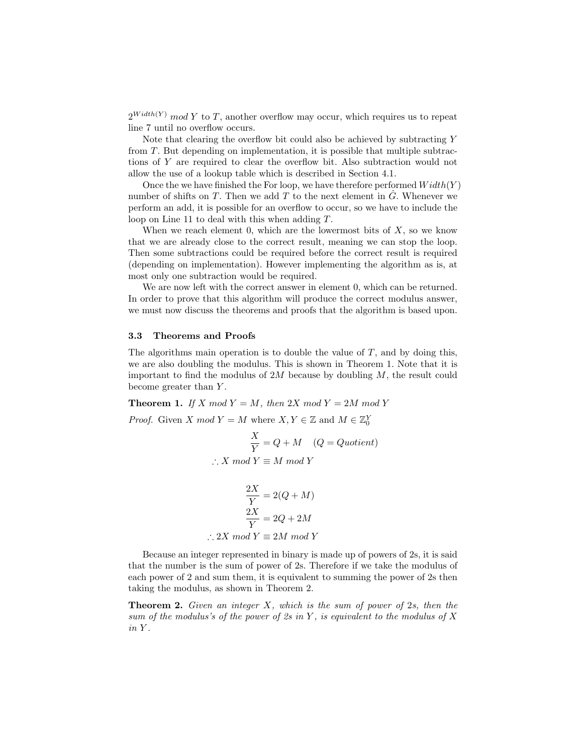$2^{Width(Y)}$  mod Y to T, another overflow may occur, which requires us to repeat line 7 until no overflow occurs.

Note that clearing the overflow bit could also be achieved by subtracting Y from T. But depending on implementation, it is possible that multiple subtractions of Y are required to clear the overflow bit. Also subtraction would not allow the use of a lookup table which is described in Section 4.1.

Once the we have finished the For loop, we have therefore performed  $Width(Y)$ number of shifts on T. Then we add T to the next element in  $\tilde{G}$ . Whenever we perform an add, it is possible for an overflow to occur, so we have to include the loop on Line 11 to deal with this when adding T.

When we reach element 0, which are the lowermost bits of  $X$ , so we know that we are already close to the correct result, meaning we can stop the loop. Then some subtractions could be required before the correct result is required (depending on implementation). However implementing the algorithm as is, at most only one subtraction would be required.

We are now left with the correct answer in element 0, which can be returned. In order to prove that this algorithm will produce the correct modulus answer, we must now discuss the theorems and proofs that the algorithm is based upon.

#### 3.3 Theorems and Proofs

The algorithms main operation is to double the value of  $T$ , and by doing this, we are also doubling the modulus. This is shown in Theorem 1. Note that it is important to find the modulus of  $2M$  because by doubling  $M$ , the result could become greater than Y.

**Theorem 1.** If X mod  $Y = M$ , then 2X mod  $Y = 2M$  mod Y

*Proof.* Given X  $mod Y = M$  where  $X, Y \in \mathbb{Z}$  and  $M \in \mathbb{Z}_{0}^{Y}$ 

$$
\frac{X}{Y} = Q + M \quad (Q = Quotient)
$$
  
:. X mod Y \equiv M mod Y

$$
\frac{2X}{Y} = 2(Q + M)
$$

$$
\frac{2X}{Y} = 2Q + 2M
$$

$$
\therefore 2X \mod Y \equiv 2M \mod Y
$$

Because an integer represented in binary is made up of powers of 2s, it is said that the number is the sum of power of 2s. Therefore if we take the modulus of each power of 2 and sum them, it is equivalent to summing the power of 2s then taking the modulus, as shown in Theorem 2.

**Theorem 2.** Given an integer  $X$ , which is the sum of power of 2s, then the sum of the modulus's of the power of 2s in Y, is equivalent to the modulus of  $X$ in Y .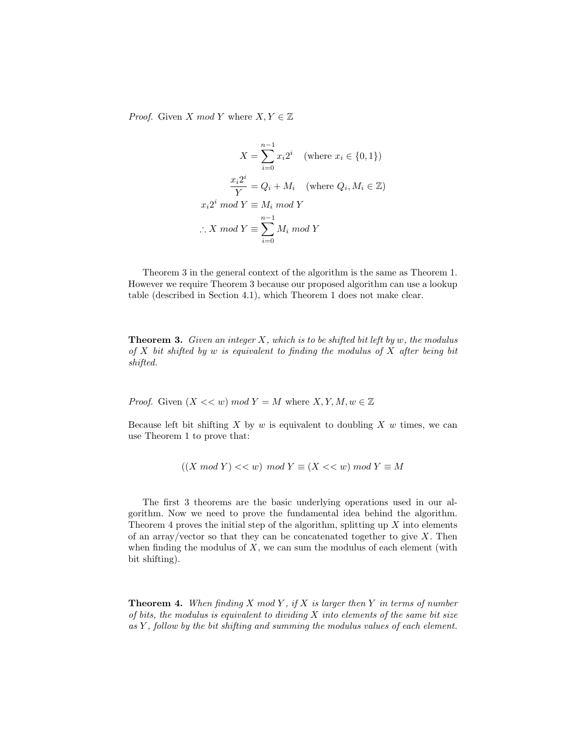*Proof.* Given X mod Y where  $X, Y \in \mathbb{Z}$ 

$$
X = \sum_{i=0}^{n-1} x_i 2^i \quad \text{(where } x_i \in \{0, 1\})
$$
\n
$$
\frac{x_i 2^i}{Y} = Q_i + M_i \quad \text{(where } Q_i, M_i \in \mathbb{Z})
$$
\n
$$
x_i 2^i \mod Y \equiv M_i \mod Y
$$
\n
$$
\therefore X \mod Y \equiv \sum_{i=0}^{n-1} M_i \mod Y
$$

Theorem 3 in the general context of the algorithm is the same as Theorem 1. However we require Theorem 3 because our proposed algorithm can use a lookup table (described in Section 4.1), which Theorem 1 does not make clear.

**Theorem 3.** Given an integer  $X$ , which is to be shifted bit left by  $w$ , the modulus of  $X$  bit shifted by  $w$  is equivalent to finding the modulus of  $X$  after being bit shifted.

*Proof.* Given  $(X \ll w) \mod Y = M$  where  $X, Y, M, w \in \mathbb{Z}$ 

Because left bit shifting  $X$  by  $w$  is equivalent to doubling  $X$   $w$  times, we can use Theorem 1 to prove that:

$$
((X \bmod Y) << w) \bmod Y \equiv (X << w) \bmod Y \equiv M
$$

The first 3 theorems are the basic underlying operations used in our algorithm. Now we need to prove the fundamental idea behind the algorithm. Theorem 4 proves the initial step of the algorithm, splitting up  $X$  into elements of an array/vector so that they can be concatenated together to give  $X$ . Then when finding the modulus of  $X$ , we can sum the modulus of each element (with bit shifting).

**Theorem 4.** When finding X mod Y, if X is larger then Y in terms of number of bits, the modulus is equivalent to dividing  $X$  into elements of the same bit size as Y , follow by the bit shifting and summing the modulus values of each element.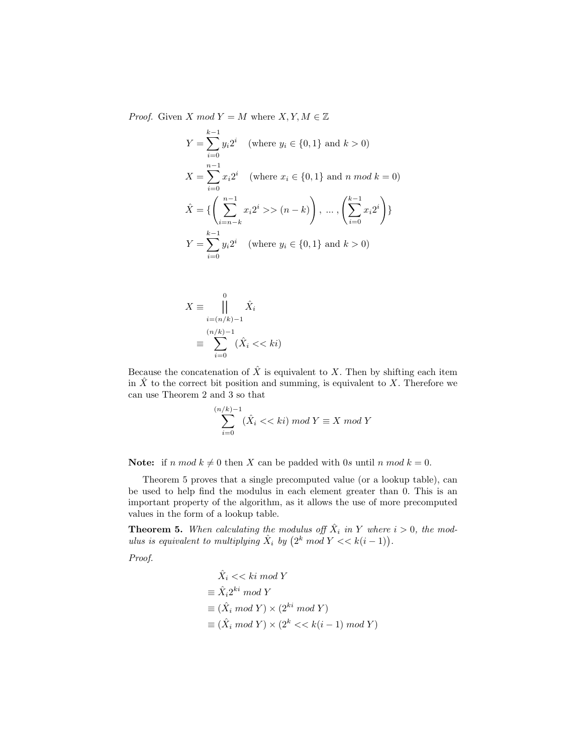*Proof.* Given X mod  $Y = M$  where  $X, Y, M \in \mathbb{Z}$ 

$$
Y = \sum_{i=0}^{k-1} y_i 2^i \quad \text{(where } y_i \in \{0, 1\} \text{ and } k > 0\text{)}
$$
\n
$$
X = \sum_{i=0}^{n-1} x_i 2^i \quad \text{(where } x_i \in \{0, 1\} \text{ and } n \text{ mod } k = 0\text{)}
$$
\n
$$
\hat{X} = \left\{ \left( \sum_{i=n-k}^{n-1} x_i 2^i >\n \begin{cases} n-k \end{cases} \right), \dots, \left( \sum_{i=0}^{k-1} x_i 2^i \right) \right\}
$$
\n
$$
Y = \sum_{i=0}^{k-1} y_i 2^i \quad \text{(where } y_i \in \{0, 1\} \text{ and } k > 0\text{)}
$$

$$
X \equiv \bigcap_{i=(n/k)-1}^{0} \hat{X}_i
$$

$$
\equiv \sum_{i=0}^{(n/k)-1} (\hat{X}_i \ll k i)
$$

Because the concatenation of  $\hat{X}$  is equivalent to X. Then by shifting each item in  $\hat{X}$  to the correct bit position and summing, is equivalent to X. Therefore we can use Theorem 2 and 3 so that

$$
\sum_{i=0}^{(n/k)-1} (\hat{X}_i \ll k i) \bmod Y \equiv X \bmod Y
$$

**Note:** if n mod  $k \neq 0$  then X can be padded with 0s until n mod  $k = 0$ .

Theorem 5 proves that a single precomputed value (or a lookup table), can be used to help find the modulus in each element greater than 0. This is an important property of the algorithm, as it allows the use of more precomputed values in the form of a lookup table.

**Theorem 5.** When calculating the modulus off  $\hat{X}_i$  in Y where  $i > 0$ , the modulus is equivalent to multiplying  $\hat{X}_i$  by  $(2^k \mod Y \ll k(i-1)).$ 

Proof.

$$
\hat{X}_i \ll k \text{ i mod } Y
$$
\n
$$
\equiv \hat{X}_i 2^{ki} \mod Y
$$
\n
$$
\equiv (\hat{X}_i \mod Y) \times (2^{ki} \mod Y)
$$
\n
$$
\equiv (\hat{X}_i \mod Y) \times (2^k \ll k(i-1) \mod Y)
$$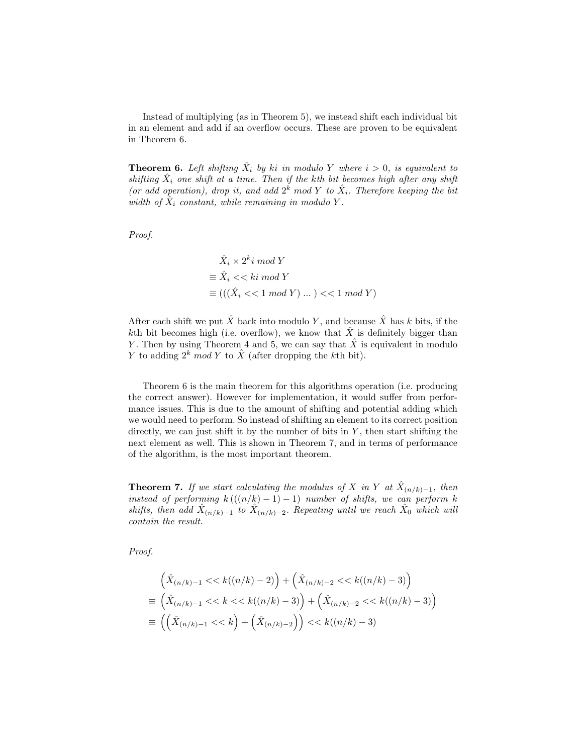Instead of multiplying (as in Theorem 5), we instead shift each individual bit in an element and add if an overflow occurs. These are proven to be equivalent in Theorem 6.

**Theorem 6.** Left shifting  $\hat{X}_i$  by ki in modulo Y where  $i > 0$ , is equivalent to shifting  $\hat{X}_i$  one shift at a time. Then if the kth bit becomes high after any shift (or add operation), drop it, and add  $2^k$  mod Y to  $\hat{X}_i$ . Therefore keeping the bit width of  $\hat{X}_i$  constant, while remaining in modulo Y.

Proof.

$$
\hat{X}_i \times 2^k i \mod Y
$$
  
\n
$$
\equiv \hat{X}_i \ll k \mod Y
$$
  
\n
$$
\equiv (((\hat{X}_i \ll 1 \mod Y) \dots) \ll 1 \mod Y)
$$

After each shift we put  $\hat{X}$  back into modulo Y, and because  $\hat{X}$  has k bits, if the kth bit becomes high (i.e. overflow), we know that  $\hat{X}$  is definitely bigger than Y. Then by using Theorem 4 and 5, we can say that  $\hat{X}$  is equivalent in modulo Y to adding  $2^k \mod Y$  to  $\hat{X}$  (after dropping the kth bit).

Theorem 6 is the main theorem for this algorithms operation (i.e. producing the correct answer). However for implementation, it would suffer from performance issues. This is due to the amount of shifting and potential adding which we would need to perform. So instead of shifting an element to its correct position directly, we can just shift it by the number of bits in  $Y$ , then start shifting the next element as well. This is shown in Theorem 7, and in terms of performance of the algorithm, is the most important theorem.

**Theorem 7.** If we start calculating the modulus of X in Y at  $\hat{X}_{(n/k)-1}$ , then instead of performing  $k((n/k)-1)-1)$  number of shifts, we can perform k shifts, then add  $\hat{X}_{(n/k)-1}$  to  $\hat{X}_{(n/k)-2}$ . Repeating until we reach  $\hat{X}_0$  which will contain the result.

Proof.

$$
\begin{aligned}\n\left(\hat{X}_{(n/k)-1} << k((n/k)-2)\right) + \left(\hat{X}_{(n/k)-2} << k((n/k)-3)\right) \\
&\equiv \left(\hat{X}_{(n/k)-1} << k << k((n/k)-3)\right) + \left(\hat{X}_{(n/k)-2} << k((n/k)-3)\right) \\
\equiv \left(\left(\hat{X}_{(n/k)-1} << k\right) + \left(\hat{X}_{(n/k)-2}\right)\right) << k((n/k)-3)\n\end{aligned}
$$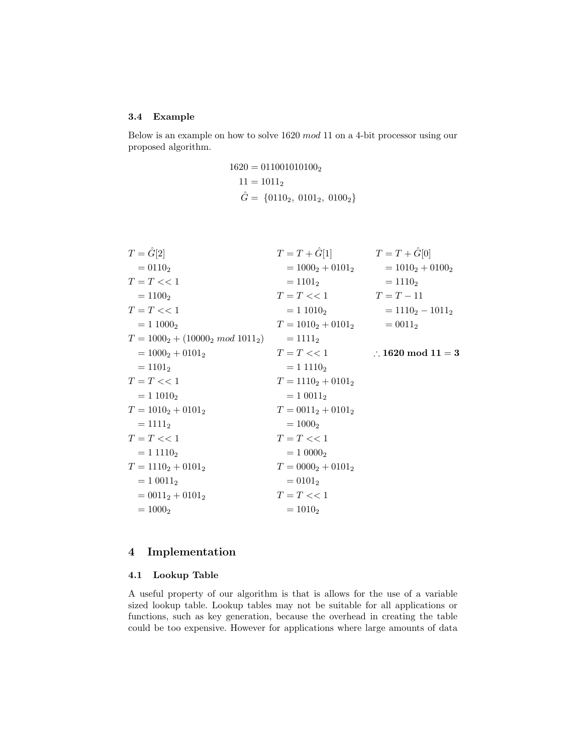### 3.4 Example

Below is an example on how to solve 1620 mod 11 on a 4-bit processor using our proposed algorithm.

$$
1620 = 0110010101002
$$
  

$$
11 = 10112
$$
  

$$
\hat{G} = \{01102, 01012, 01002\}
$$

| $T = \hat{G}[2]$                 | $T = T + G[1]$        | $T = T + \tilde{G}[0]$       |
|----------------------------------|-----------------------|------------------------------|
| $= 01102$                        | $= 10002 + 01012$     | $= 1010_2 + 0100_2$          |
| $T = T \lt 1$                    | $= 1101_2$            | $= 1110_2$                   |
| $= 11002$                        | $T = T \ll 1$         | $T = T - 11$                 |
| $T = T \lt 1$                    | $= 110102$            | $= 11102 - 10112$            |
| $= 110002$                       | $T = 1010_2 + 0101_2$ | $= 0011_2$                   |
| $T = 10002 + (100002 mod 10112)$ | $= 1111_2$            |                              |
| $= 1000_2 + 0101_2$              | $T = T \lt 1$         | $\therefore$ 1620 mod 11 = 3 |
| $= 1101_2$                       | $= 11110_2$           |                              |
| $T = T \lt 1$                    | $T = 11102 + 01012$   |                              |
| $= 110102$                       | $= 10011_2$           |                              |
| $T = 1010_2 + 0101_2$            | $T = 0011_2 + 0101_2$ |                              |
| $= 1111_2$                       | $= 10002$             |                              |
| $T = T \lt 1$                    | $T = T \lt 1$         |                              |
| $= 11110_2$                      | $= 100002$            |                              |
| $T = 1110_2 + 0101_2$            | $T = 0000_2 + 0101_2$ |                              |
| $= 10011_2$                      | $= 0101_2$            |                              |
| $= 0011_2 + 0101_2$              | $T = T \lt 1$         |                              |
| $= 1000_2$                       | $= 1010_2$            |                              |

# 4 Implementation

# 4.1 Lookup Table

A useful property of our algorithm is that is allows for the use of a variable sized lookup table. Lookup tables may not be suitable for all applications or functions, such as key generation, because the overhead in creating the table could be too expensive. However for applications where large amounts of data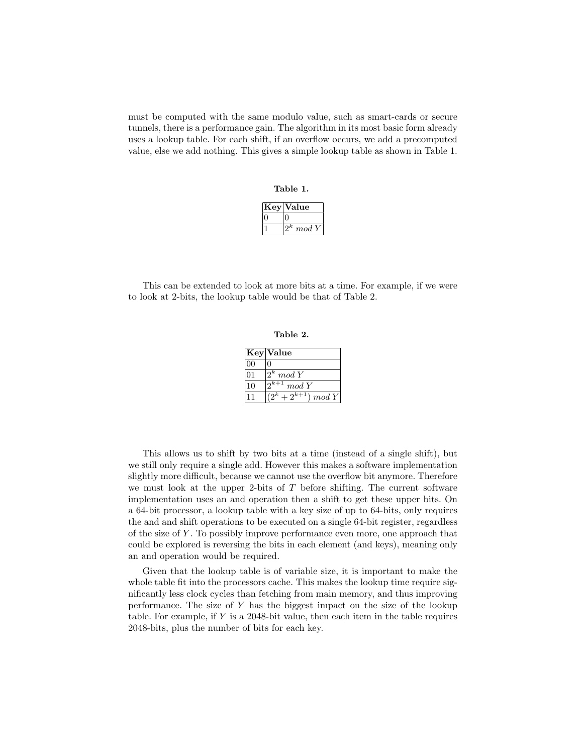must be computed with the same modulo value, such as smart-cards or secure tunnels, there is a performance gain. The algorithm in its most basic form already uses a lookup table. For each shift, if an overflow occurs, we add a precomputed value, else we add nothing. This gives a simple lookup table as shown in Table 1.

Table 1.

| <i>V</i> alue |
|---------------|
|               |
| $\emph{mod}$  |

This can be extended to look at more bits at a time. For example, if we were to look at 2-bits, the lookup table would be that of Table 2.

Table 2.

|              | Key Value                     |
|--------------|-------------------------------|
| 00           |                               |
| 01           | $\overline{2^k} \mod Y$       |
| $ 10\rangle$ | $\sqrt{2^{k+1}}$ mod Y        |
| l 1          | $\sqrt{(2^k+2^{k+1}) \mod Y}$ |

This allows us to shift by two bits at a time (instead of a single shift), but we still only require a single add. However this makes a software implementation slightly more difficult, because we cannot use the overflow bit anymore. Therefore we must look at the upper 2-bits of  $T$  before shifting. The current software implementation uses an and operation then a shift to get these upper bits. On a 64-bit processor, a lookup table with a key size of up to 64-bits, only requires the and and shift operations to be executed on a single 64-bit register, regardless of the size of Y . To possibly improve performance even more, one approach that could be explored is reversing the bits in each element (and keys), meaning only an and operation would be required.

Given that the lookup table is of variable size, it is important to make the whole table fit into the processors cache. This makes the lookup time require significantly less clock cycles than fetching from main memory, and thus improving performance. The size of  $Y$  has the biggest impact on the size of the lookup table. For example, if  $Y$  is a 2048-bit value, then each item in the table requires 2048-bits, plus the number of bits for each key.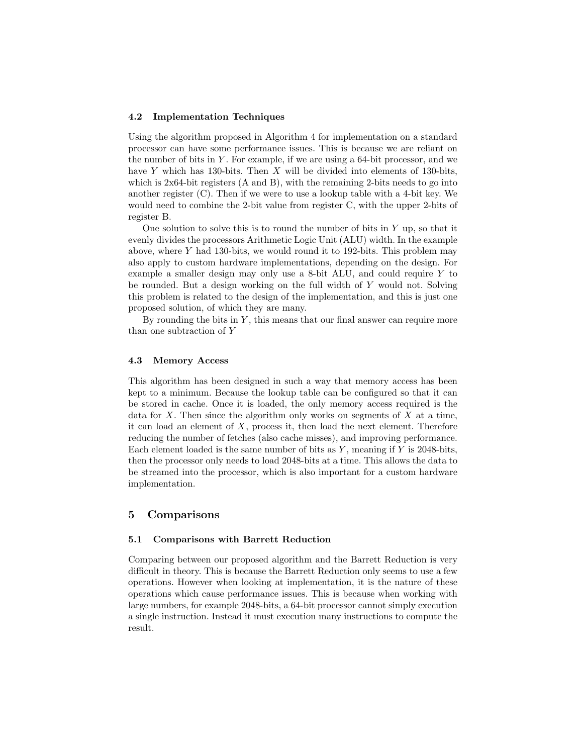#### 4.2 Implementation Techniques

Using the algorithm proposed in Algorithm 4 for implementation on a standard processor can have some performance issues. This is because we are reliant on the number of bits in  $Y$ . For example, if we are using a 64-bit processor, and we have  $Y$  which has 130-bits. Then  $X$  will be divided into elements of 130-bits, which is 2x64-bit registers (A and B), with the remaining 2-bits needs to go into another register (C). Then if we were to use a lookup table with a 4-bit key. We would need to combine the 2-bit value from register C, with the upper 2-bits of register B.

One solution to solve this is to round the number of bits in  $Y$  up, so that it evenly divides the processors Arithmetic Logic Unit (ALU) width. In the example above, where Y had 130-bits, we would round it to 192-bits. This problem may also apply to custom hardware implementations, depending on the design. For example a smaller design may only use a 8-bit ALU, and could require Y to be rounded. But a design working on the full width of Y would not. Solving this problem is related to the design of the implementation, and this is just one proposed solution, of which they are many.

By rounding the bits in  $Y$ , this means that our final answer can require more than one subtraction of Y

### 4.3 Memory Access

This algorithm has been designed in such a way that memory access has been kept to a minimum. Because the lookup table can be configured so that it can be stored in cache. Once it is loaded, the only memory access required is the data for X. Then since the algorithm only works on segments of  $X$  at a time, it can load an element of  $X$ , process it, then load the next element. Therefore reducing the number of fetches (also cache misses), and improving performance. Each element loaded is the same number of bits as  $Y$ , meaning if  $Y$  is 2048-bits, then the processor only needs to load 2048-bits at a time. This allows the data to be streamed into the processor, which is also important for a custom hardware implementation.

## 5 Comparisons

### 5.1 Comparisons with Barrett Reduction

Comparing between our proposed algorithm and the Barrett Reduction is very difficult in theory. This is because the Barrett Reduction only seems to use a few operations. However when looking at implementation, it is the nature of these operations which cause performance issues. This is because when working with large numbers, for example 2048-bits, a 64-bit processor cannot simply execution a single instruction. Instead it must execution many instructions to compute the result.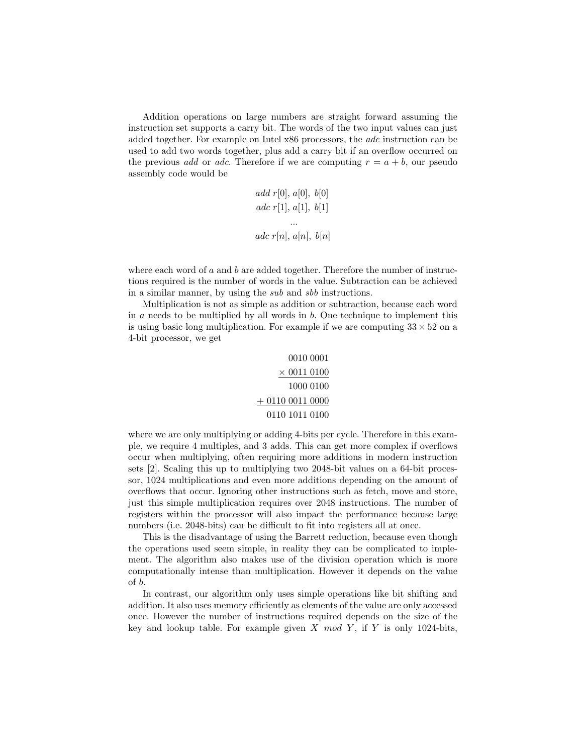Addition operations on large numbers are straight forward assuming the instruction set supports a carry bit. The words of the two input values can just added together. For example on Intel x86 processors, the adc instruction can be used to add two words together, plus add a carry bit if an overflow occurred on the previous *add* or *adc*. Therefore if we are computing  $r = a + b$ , our pseudo assembly code would be

add 
$$
r[0], a[0], b[0]
$$
  
adc  $r[1], a[1], b[1]$   
...  
adc  $r[n], a[n], b[n]$ 

where each word of  $a$  and  $b$  are added together. Therefore the number of instructions required is the number of words in the value. Subtraction can be achieved in a similar manner, by using the sub and sbb instructions.

Multiplication is not as simple as addition or subtraction, because each word in  $a$  needs to be multiplied by all words in  $b$ . One technique to implement this is using basic long multiplication. For example if we are computing  $33 \times 52$  on a 4-bit processor, we get

```
0010 0001
     \times 0011 0100
       1000 0100
+ 0110 0011 0000
  0110 1011 0100
```
where we are only multiplying or adding 4-bits per cycle. Therefore in this example, we require 4 multiples, and 3 adds. This can get more complex if overflows occur when multiplying, often requiring more additions in modern instruction sets [2]. Scaling this up to multiplying two 2048-bit values on a 64-bit processor, 1024 multiplications and even more additions depending on the amount of overflows that occur. Ignoring other instructions such as fetch, move and store, just this simple multiplication requires over 2048 instructions. The number of registers within the processor will also impact the performance because large numbers (i.e. 2048-bits) can be difficult to fit into registers all at once.

This is the disadvantage of using the Barrett reduction, because even though the operations used seem simple, in reality they can be complicated to implement. The algorithm also makes use of the division operation which is more computationally intense than multiplication. However it depends on the value of b.

In contrast, our algorithm only uses simple operations like bit shifting and addition. It also uses memory efficiently as elements of the value are only accessed once. However the number of instructions required depends on the size of the key and lookup table. For example given X mod Y, if Y is only 1024-bits,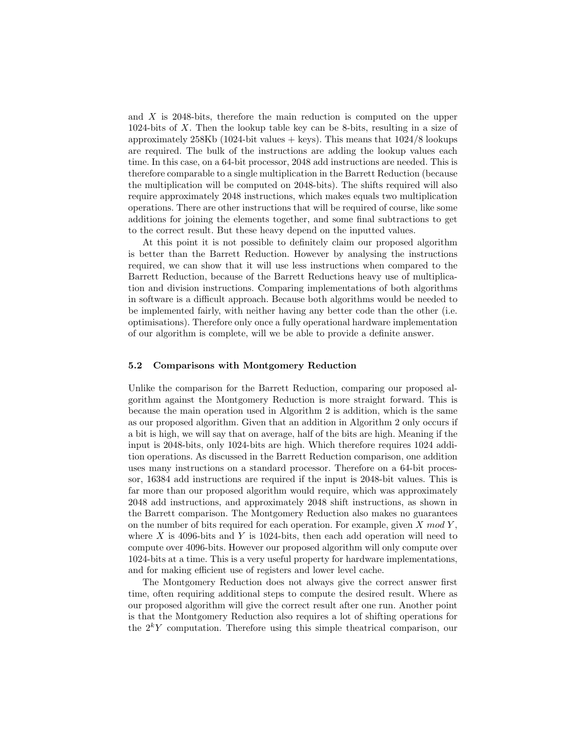and X is 2048-bits, therefore the main reduction is computed on the upper 1024-bits of X. Then the lookup table key can be 8-bits, resulting in a size of approximately 258Kb (1024-bit values  $+$  keys). This means that  $1024/8$  lookups are required. The bulk of the instructions are adding the lookup values each time. In this case, on a 64-bit processor, 2048 add instructions are needed. This is therefore comparable to a single multiplication in the Barrett Reduction (because the multiplication will be computed on 2048-bits). The shifts required will also require approximately 2048 instructions, which makes equals two multiplication operations. There are other instructions that will be required of course, like some additions for joining the elements together, and some final subtractions to get to the correct result. But these heavy depend on the inputted values.

At this point it is not possible to definitely claim our proposed algorithm is better than the Barrett Reduction. However by analysing the instructions required, we can show that it will use less instructions when compared to the Barrett Reduction, because of the Barrett Reductions heavy use of multiplication and division instructions. Comparing implementations of both algorithms in software is a difficult approach. Because both algorithms would be needed to be implemented fairly, with neither having any better code than the other (i.e. optimisations). Therefore only once a fully operational hardware implementation of our algorithm is complete, will we be able to provide a definite answer.

### 5.2 Comparisons with Montgomery Reduction

Unlike the comparison for the Barrett Reduction, comparing our proposed algorithm against the Montgomery Reduction is more straight forward. This is because the main operation used in Algorithm 2 is addition, which is the same as our proposed algorithm. Given that an addition in Algorithm 2 only occurs if a bit is high, we will say that on average, half of the bits are high. Meaning if the input is 2048-bits, only 1024-bits are high. Which therefore requires 1024 addition operations. As discussed in the Barrett Reduction comparison, one addition uses many instructions on a standard processor. Therefore on a 64-bit processor, 16384 add instructions are required if the input is 2048-bit values. This is far more than our proposed algorithm would require, which was approximately 2048 add instructions, and approximately 2048 shift instructions, as shown in the Barrett comparison. The Montgomery Reduction also makes no guarantees on the number of bits required for each operation. For example, given  $X \mod Y$ , where  $X$  is 4096-bits and  $Y$  is 1024-bits, then each add operation will need to compute over 4096-bits. However our proposed algorithm will only compute over 1024-bits at a time. This is a very useful property for hardware implementations, and for making efficient use of registers and lower level cache.

The Montgomery Reduction does not always give the correct answer first time, often requiring additional steps to compute the desired result. Where as our proposed algorithm will give the correct result after one run. Another point is that the Montgomery Reduction also requires a lot of shifting operations for the  $2^k Y$  computation. Therefore using this simple theatrical comparison, our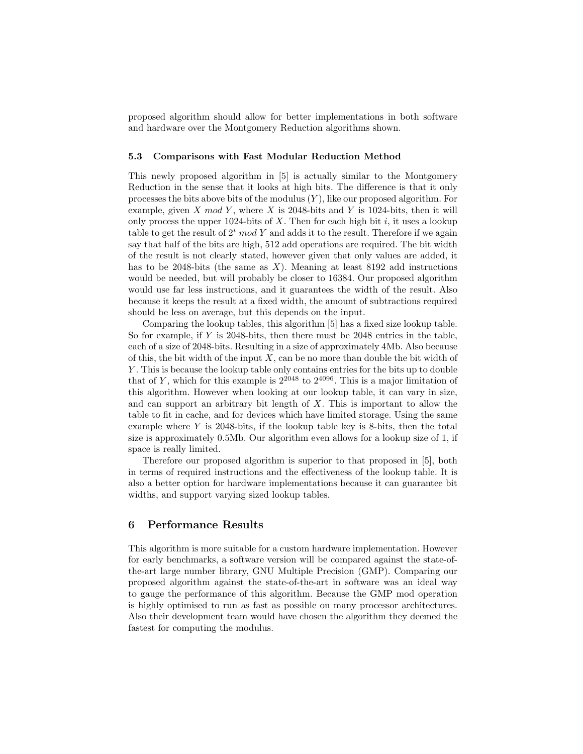proposed algorithm should allow for better implementations in both software and hardware over the Montgomery Reduction algorithms shown.

### 5.3 Comparisons with Fast Modular Reduction Method

This newly proposed algorithm in [5] is actually similar to the Montgomery Reduction in the sense that it looks at high bits. The difference is that it only processes the bits above bits of the modulus  $(Y)$ , like our proposed algorithm. For example, given X mod Y, where X is 2048-bits and Y is 1024-bits, then it will only process the upper 1024-bits of X. Then for each high bit i, it uses a lookup table to get the result of  $2<sup>i</sup>$  mod Y and adds it to the result. Therefore if we again say that half of the bits are high, 512 add operations are required. The bit width of the result is not clearly stated, however given that only values are added, it has to be 2048-bits (the same as  $X$ ). Meaning at least 8192 add instructions would be needed, but will probably be closer to 16384. Our proposed algorithm would use far less instructions, and it guarantees the width of the result. Also because it keeps the result at a fixed width, the amount of subtractions required should be less on average, but this depends on the input.

Comparing the lookup tables, this algorithm [5] has a fixed size lookup table. So for example, if Y is 2048-bits, then there must be 2048 entries in the table, each of a size of 2048-bits. Resulting in a size of approximately 4Mb. Also because of this, the bit width of the input  $X$ , can be no more than double the bit width of Y . This is because the lookup table only contains entries for the bits up to double that of Y, which for this example is  $2^{2048}$  to  $2^{4096}$ . This is a major limitation of this algorithm. However when looking at our lookup table, it can vary in size, and can support an arbitrary bit length of X. This is important to allow the table to fit in cache, and for devices which have limited storage. Using the same example where Y is 2048-bits, if the lookup table key is 8-bits, then the total size is approximately 0.5Mb. Our algorithm even allows for a lookup size of 1, if space is really limited.

Therefore our proposed algorithm is superior to that proposed in [5], both in terms of required instructions and the effectiveness of the lookup table. It is also a better option for hardware implementations because it can guarantee bit widths, and support varying sized lookup tables.

## 6 Performance Results

This algorithm is more suitable for a custom hardware implementation. However for early benchmarks, a software version will be compared against the state-ofthe-art large number library, GNU Multiple Precision (GMP). Comparing our proposed algorithm against the state-of-the-art in software was an ideal way to gauge the performance of this algorithm. Because the GMP mod operation is highly optimised to run as fast as possible on many processor architectures. Also their development team would have chosen the algorithm they deemed the fastest for computing the modulus.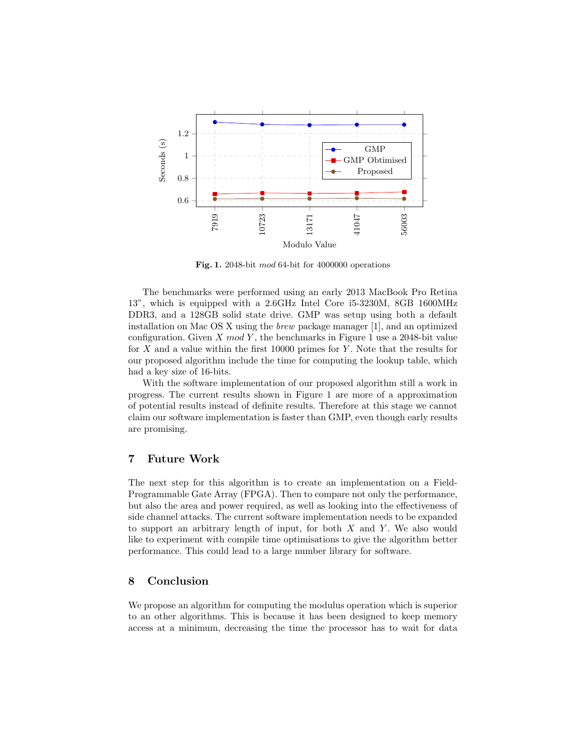

Fig. 1. 2048-bit mod 64-bit for 4000000 operations

The benchmarks were performed using an early 2013 MacBook Pro Retina 13", which is equipped with a 2.6GHz Intel Core i5-3230M, 8GB 1600MHz DDR3, and a 128GB solid state drive. GMP was setup using both a default installation on Mac OS X using the brew package manager [1], and an optimized configuration. Given  $X \mod Y$ , the benchmarks in Figure 1 use a 2048-bit value for X and a value within the first 10000 primes for Y. Note that the results for our proposed algorithm include the time for computing the lookup table, which had a key size of 16-bits.

With the software implementation of our proposed algorithm still a work in progress. The current results shown in Figure 1 are more of a approximation of potential results instead of definite results. Therefore at this stage we cannot claim our software implementation is faster than GMP, even though early results are promising.

## 7 Future Work

The next step for this algorithm is to create an implementation on a Field-Programmable Gate Array (FPGA). Then to compare not only the performance, but also the area and power required, as well as looking into the effectiveness of side channel attacks. The current software implementation needs to be expanded to support an arbitrary length of input, for both  $X$  and  $Y$ . We also would like to experiment with compile time optimisations to give the algorithm better performance. This could lead to a large number library for software.

# 8 Conclusion

We propose an algorithm for computing the modulus operation which is superior to an other algorithms. This is because it has been designed to keep memory access at a minimum, decreasing the time the processor has to wait for data